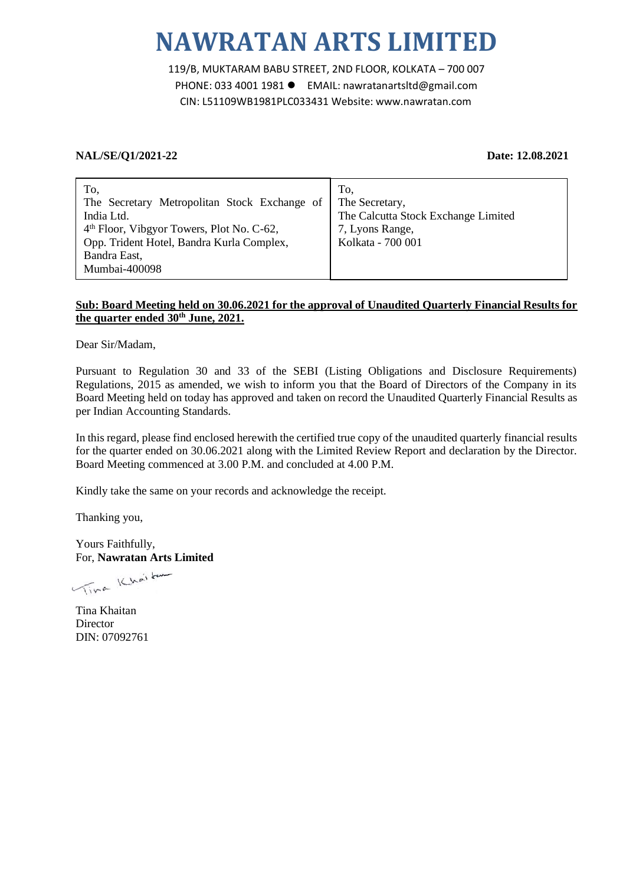# **NAWRATAN ARTS LIMITED**

119/B, MUKTARAM BABU STREET, 2ND FLOOR, KOLKATA – 700 007 PHONE: 033 4001 1981 ● EMAIL: nawratanartsltd@gmail.com CIN: L51109WB1981PLC033431 Website: www.nawratan.com

## **NAL/SE/Q1/2021-22 Date: 12.08.2021**

| To,                                                   | To.                                 |
|-------------------------------------------------------|-------------------------------------|
| The Secretary Metropolitan Stock Exchange of          | The Secretary,                      |
| India Ltd.                                            | The Calcutta Stock Exchange Limited |
| 4 <sup>th</sup> Floor, Vibgyor Towers, Plot No. C-62, | 7, Lyons Range,                     |
| Opp. Trident Hotel, Bandra Kurla Complex,             | Kolkata - 700 001                   |
| Bandra East,                                          |                                     |
| Mumbai-400098                                         |                                     |

## **Sub: Board Meeting held on 30.06.2021 for the approval of Unaudited Quarterly Financial Results for the quarter ended 30th June, 2021.**

Dear Sir/Madam,

Pursuant to Regulation 30 and 33 of the SEBI (Listing Obligations and Disclosure Requirements) Regulations, 2015 as amended, we wish to inform you that the Board of Directors of the Company in its Board Meeting held on today has approved and taken on record the Unaudited Quarterly Financial Results as per Indian Accounting Standards.

In this regard, please find enclosed herewith the certified true copy of the unaudited quarterly financial results for the quarter ended on 30.06.2021 along with the Limited Review Report and declaration by the Director. Board Meeting commenced at 3.00 P.M. and concluded at 4.00 P.M.

Kindly take the same on your records and acknowledge the receipt.

Thanking you,

Yours Faithfully, For, **Nawratan Arts Limited**

Vina Khaitar

Tina Khaitan **Director** DIN: 07092761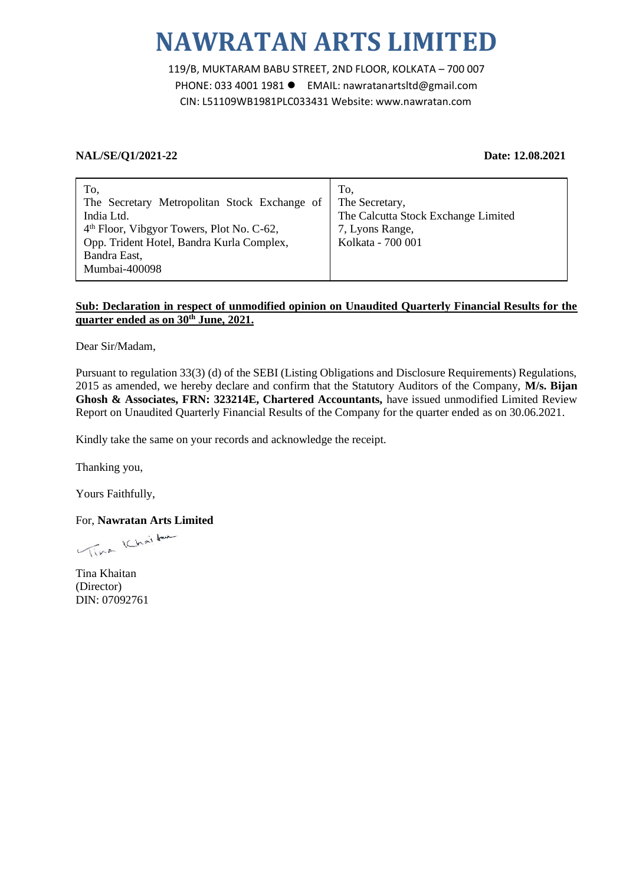# **NAWRATAN ARTS LIMITED**

119/B, MUKTARAM BABU STREET, 2ND FLOOR, KOLKATA – 700 007 PHONE: 033 4001 1981 EMAIL: nawratanartsltd@gmail.com CIN: L51109WB1981PLC033431 Website: www.nawratan.com

### **NAL/SE/Q1/2021-22 Date: 12.08.2021**

| To,                                                   | To.                                 |
|-------------------------------------------------------|-------------------------------------|
| The Secretary Metropolitan Stock Exchange of          | The Secretary,                      |
| India Ltd.                                            | The Calcutta Stock Exchange Limited |
| 4 <sup>th</sup> Floor, Vibgyor Towers, Plot No. C-62, | 7, Lyons Range,                     |
| Opp. Trident Hotel, Bandra Kurla Complex,             | Kolkata - 700 001                   |
| Bandra East,                                          |                                     |
| Mumbai-400098                                         |                                     |

## **Sub: Declaration in respect of unmodified opinion on Unaudited Quarterly Financial Results for the quarter ended as on 30th June, 2021.**

Dear Sir/Madam,

Pursuant to regulation 33(3) (d) of the SEBI (Listing Obligations and Disclosure Requirements) Regulations, 2015 as amended, we hereby declare and confirm that the Statutory Auditors of the Company, **M/s. Bijan Ghosh & Associates, FRN: 323214E, Chartered Accountants,** have issued unmodified Limited Review Report on Unaudited Quarterly Financial Results of the Company for the quarter ended as on 30.06.2021.

Kindly take the same on your records and acknowledge the receipt.

Thanking you,

Yours Faithfully,

For, **Nawratan Arts Limited**

Time Khaitan

Tina Khaitan (Director) DIN: 07092761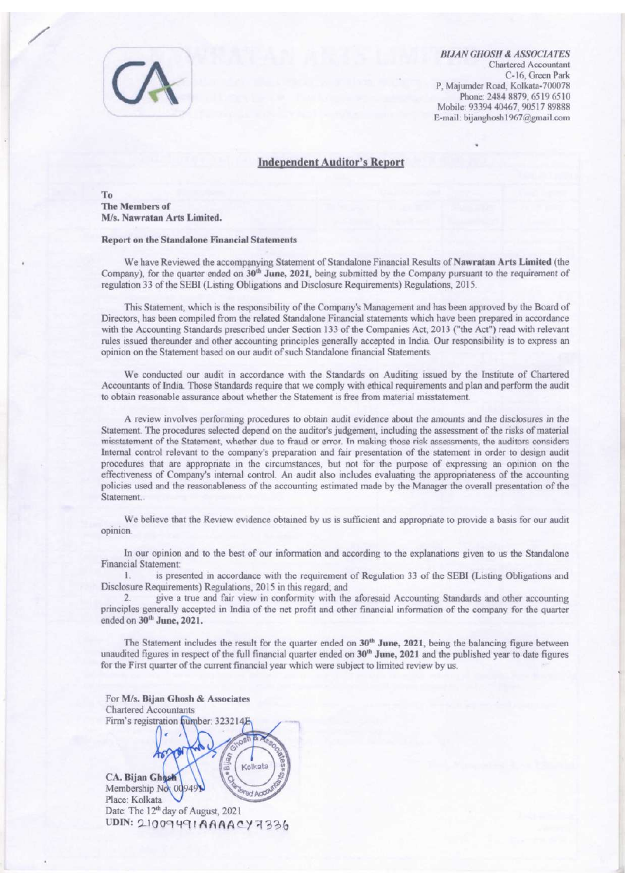

**BIJAN GHOSH & ASSOCIATES** Chartered Accountant C-16. Green Park P, Majumder Road, Kolkata-700078 Phone: 2484 8879, 6519 6510 Mobile: 93394 40467, 90517 89888 E-mail: bijanghosh1967@gmail.com

### **Independent Auditor's Report**

To The Members of M/s. Nawratan Arts Limited.

### **Report on the Standalone Financial Statements**

We have Reviewed the accompanying Statement of Standalone Financial Results of Nawratan Arts Limited (the Company), for the quarter ended on 30<sup>th</sup> June, 2021, being submitted by the Company pursuant to the requirement of regulation 33 of the SEBI (Listing Obligations and Disclosure Requirements) Regulations, 2015.

This Statement, which is the responsibility of the Company's Management and has been approved by the Board of Directors, has been compiled from the related Standalone Financial statements which have been prepared in accordance with the Accounting Standards prescribed under Section 133 of the Companies Act, 2013 ("the Act") read with relevant rules issued thereunder and other accounting principles generally accepted in India. Our responsibility is to express an opinion on the Statement based on our audit of such Standalone financial Statements.

We conducted our audit in accordance with the Standards on Auditing issued by the Institute of Chartered Accountants of India. Those Standards require that we comply with ethical requirements and plan and perform the audit to obtain reasonable assurance about whether the Statement is free from material misstatement.

A review involves performing procedures to obtain audit evidence about the amounts and the disclosures in the Statement. The procedures selected depend on the auditor's judgement, including the assessment of the risks of material misstatement of the Statement, whether due to fraud or error. In making those risk assessments, the auditors considers Internal control relevant to the company's preparation and fair presentation of the statement in order to design audit procedures that are appropriate in the circumstances, but not for the purpose of expressing an opinion on the effectiveness of Company's internal control. An audit also includes evaluating the appropriateness of the accounting policies used and the reasonableness of the accounting estimated made by the Manager the overall presentation of the Statement.

We believe that the Review evidence obtained by us is sufficient and appropriate to provide a basis for our audit opinion.

In our opinion and to the best of our information and according to the explanations given to us the Standalone **Financial Statement:** 

is presented in accordance with the requirement of Regulation 33 of the SEBI (Listing Obligations and 1. Disclosure Requirements) Regulations, 2015 in this regard; and

 $2$ give a true and fair view in conformity with the aforesaid Accounting Standards and other accounting principles generally accepted in India of the net profit and other financial information of the company for the quarter ended on 30<sup>th</sup> June, 2021.

The Statement includes the result for the quarter ended on  $30<sup>th</sup>$  June, 2021, being the balancing figure between unaudited figures in respect of the full financial quarter ended on 30<sup>th</sup> June, 2021 and the published year to date figures for the First quarter of the current financial year which were subject to limited review by us.

For M/s. Bijan Ghosh & Associates **Chartered Accountants** Firm's registration humber: 32321 Kolkata CA. Bijan Ghost Membership No: 0094 **Gd Acco** Place: Kolkata Date: The 12<sup>th</sup> day of August, 2021 UDIN: 21009491AAAACY7336